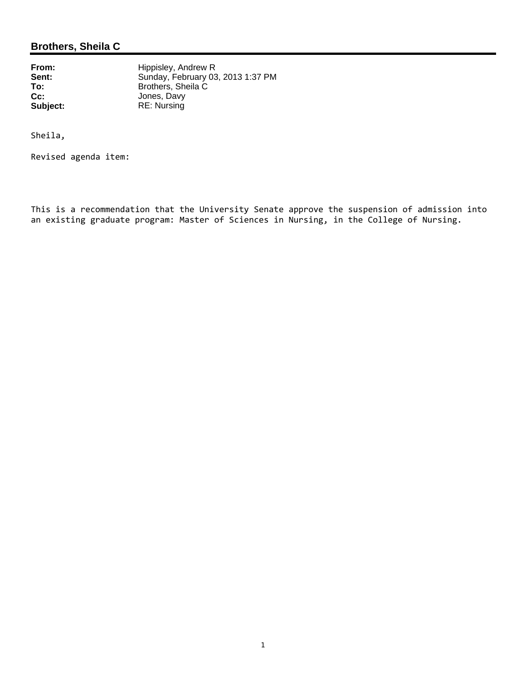# **Brothers, Sheila C**

| From:    | Hippisley, Andrew R               |
|----------|-----------------------------------|
| Sent:    | Sunday, February 03, 2013 1:37 PM |
| To:      | Brothers, Sheila C                |
| Cc:      | Jones, Davy                       |
| Subject: | RE: Nursing                       |

Sheila,

Revised agenda item:

This is a recommendation that the University Senate approve the suspension of admission into an existing graduate program: Master of Sciences in Nursing, in the College of Nursing.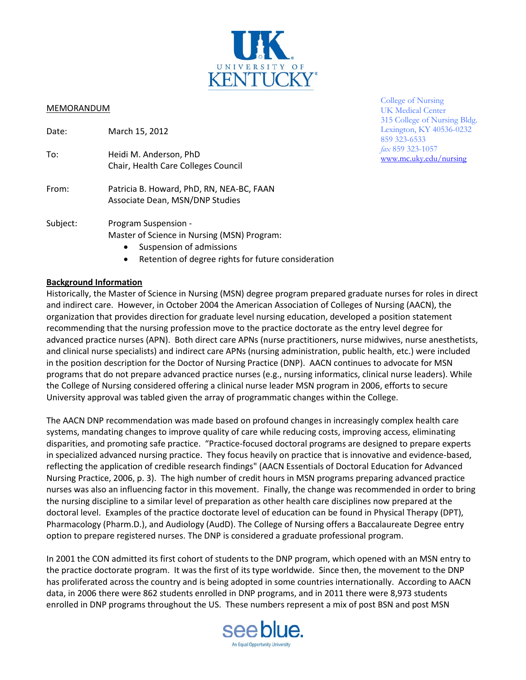

#### MEMORANDUM

Date: March 15, 2012 To: Heidi M. Anderson, PhD Chair, Health Care Colleges Council From: Patricia B. Howard, PhD, RN, NEA-BC, FAAN Associate Dean, MSN/DNP Studies Subject: Program Suspension - Master of Science in Nursing (MSN) Program: • Suspension of admissions • Retention of degree rights for future consideration

#### **Background Information**

Historically, the Master of Science in Nursing (MSN) degree program prepared graduate nurses for roles in direct and indirect care. However, in October 2004 the American Association of Colleges of Nursing (AACN), the organization that provides direction for graduate level nursing education, developed a position statement recommending that the nursing profession move to the practice doctorate as the entry level degree for advanced practice nurses (APN). Both direct care APNs (nurse practitioners, nurse midwives, nurse anesthetists, and clinical nurse specialists) and indirect care APNs (nursing administration, public health, etc.) were included in the position description for the Doctor of Nursing Practice (DNP). AACN continues to advocate for MSN programs that do not prepare advanced practice nurses (e.g., nursing informatics, clinical nurse leaders). While the College of Nursing considered offering a clinical nurse leader MSN program in 2006, efforts to secure University approval was tabled given the array of programmatic changes within the College.

The AACN DNP recommendation was made based on profound changes in increasingly complex health care systems, mandating changes to improve quality of care while reducing costs, improving access, eliminating disparities, and promoting safe practice. "Practice-focused doctoral programs are designed to prepare experts in specialized advanced nursing practice. They focus heavily on practice that is innovative and evidence-based, reflecting the application of credible research findings" (AACN Essentials of Doctoral Education for Advanced Nursing Practice, 2006, p. 3). The high number of credit hours in MSN programs preparing advanced practice nurses was also an influencing factor in this movement. Finally, the change was recommended in order to bring the nursing discipline to a similar level of preparation as other health care disciplines now prepared at the doctoral level. Examples of the practice doctorate level of education can be found in Physical Therapy (DPT), Pharmacology (Pharm.D.), and Audiology (AudD). The College of Nursing offers a Baccalaureate Degree entry option to prepare registered nurses. The DNP is considered a graduate professional program.

In 2001 the CON admitted its first cohort of students to the DNP program, which opened with an MSN entry to the practice doctorate program. It was the first of its type worldwide. Since then, the movement to the DNP has proliferated across the country and is being adopted in some countries internationally. According to AACN data, in 2006 there were 862 students enrolled in DNP programs, and in 2011 there were 8,973 students enrolled in DNP programs throughout the US. These numbers represent a mix of post BSN and post MSN



College of Nursing UK Medical Center 315 College of Nursing Bldg. Lexington, KY 40536-0232 859 323-6533 *fax* 859 323-1057 [www.mc.uky.edu/nursing](http://www.mc.uky.edu/nursing)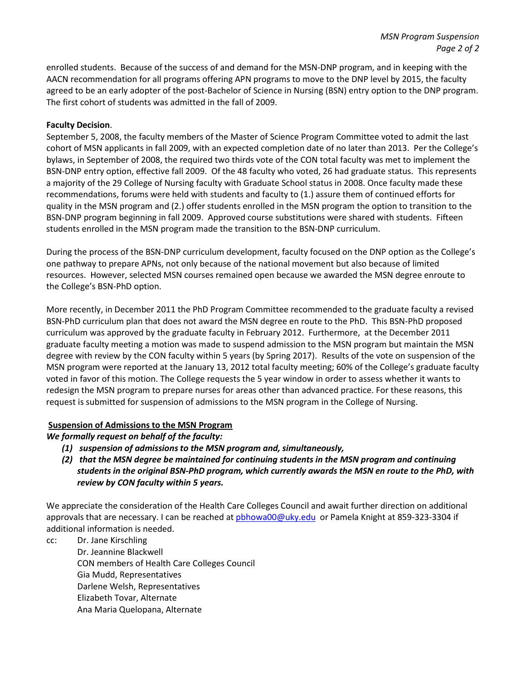enrolled students. Because of the success of and demand for the MSN-DNP program, and in keeping with the AACN recommendation for all programs offering APN programs to move to the DNP level by 2015, the faculty agreed to be an early adopter of the post-Bachelor of Science in Nursing (BSN) entry option to the DNP program. The first cohort of students was admitted in the fall of 2009.

## **Faculty Decision**.

September 5, 2008, the faculty members of the Master of Science Program Committee voted to admit the last cohort of MSN applicants in fall 2009, with an expected completion date of no later than 2013. Per the College's bylaws, in September of 2008, the required two thirds vote of the CON total faculty was met to implement the BSN-DNP entry option, effective fall 2009. Of the 48 faculty who voted, 26 had graduate status. This represents a majority of the 29 College of Nursing faculty with Graduate School status in 2008. Once faculty made these recommendations, forums were held with students and faculty to (1.) assure them of continued efforts for quality in the MSN program and (2.) offer students enrolled in the MSN program the option to transition to the BSN-DNP program beginning in fall 2009. Approved course substitutions were shared with students. Fifteen students enrolled in the MSN program made the transition to the BSN-DNP curriculum.

During the process of the BSN-DNP curriculum development, faculty focused on the DNP option as the College's one pathway to prepare APNs, not only because of the national movement but also because of limited resources. However, selected MSN courses remained open because we awarded the MSN degree enroute to the College's BSN-PhD option.

More recently, in December 2011 the PhD Program Committee recommended to the graduate faculty a revised BSN-PhD curriculum plan that does not award the MSN degree en route to the PhD. This BSN-PhD proposed curriculum was approved by the graduate faculty in February 2012. Furthermore, at the December 2011 graduate faculty meeting a motion was made to suspend admission to the MSN program but maintain the MSN degree with review by the CON faculty within 5 years (by Spring 2017). Results of the vote on suspension of the MSN program were reported at the January 13, 2012 total faculty meeting; 60% of the College's graduate faculty voted in favor of this motion. The College requests the 5 year window in order to assess whether it wants to redesign the MSN program to prepare nurses for areas other than advanced practice. For these reasons, this request is submitted for suspension of admissions to the MSN program in the College of Nursing.

### **Suspension of Admissions to the MSN Program**

*We formally request on behalf of the faculty:* 

- *(1) suspension of admissions to the MSN program and, simultaneously,*
- *(2) that the MSN degree be maintained for continuing students in the MSN program and continuing students in the original BSN-PhD program, which currently awards the MSN en route to the PhD, with review by CON faculty within 5 years.*

We appreciate the consideration of the Health Care Colleges Council and await further direction on additional approvals that are necessary. I can be reached at phhowa00@uky.edu or Pamela Knight at 859-323-3304 if additional information is needed.

cc: Dr. Jane Kirschling

Dr. Jeannine Blackwell CON members of Health Care Colleges Council Gia Mudd, Representatives Darlene Welsh, Representatives Elizabeth Tovar, Alternate Ana Maria Quelopana, Alternate